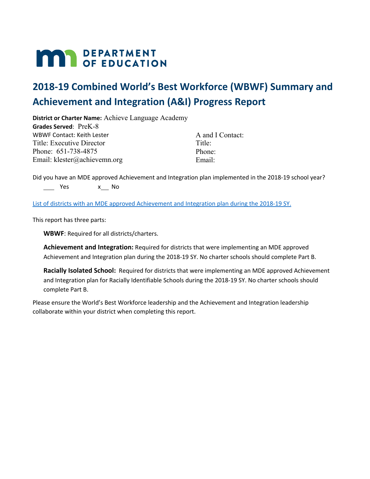# **MAR** DEPARTMENT

## **2018-19 Combined World's Best Workforce (WBWF) Summary and Achievement and Integration (A&I) Progress Report**

**District or Charter Name:** Achieve Language Academy **Grades Served**: PreK-8

WBWF Contact: Keith Lester Title: Executive Director Phone: 651-738-4875 Email: klester@achievemn.org

A and I Contact: Title: Phone: Email:

Did you have an MDE approved Achievement and Integration plan implemented in the 2018-19 school year? \_\_\_\_\_ Yes x\_\_\_\_ No

List of districts with an MDE approved Achievement and Integration plan during the 2018-19 SY.

This report has three parts:

**WBWF**: Required for all districts/charters.

**Achievement and Integration:** Required for districts that were implementing an MDE approved Achievement and Integration plan during the 2018-19 SY. No charter schools should complete Part B.

**Racially Isolated School:** Required for districts that were implementing an MDE approved Achievement and Integration plan for Racially Identifiable Schools during the 2018-19 SY. No charter schools should complete Part B.

Please ensure the World's Best Workforce leadership and the Achievement and Integration leadership collaborate within your district when completing this report.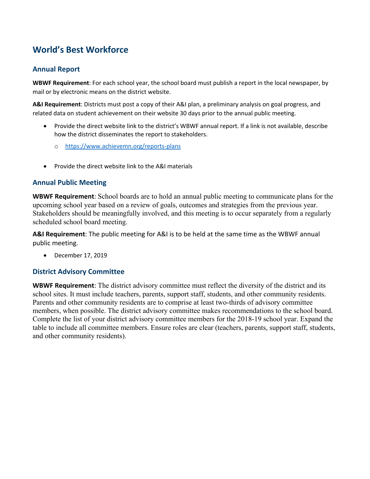## **World's Best Workforce**

#### **Annual Report**

**WBWF Requirement**: For each school year, the school board must publish a report in the local newspaper, by mail or by electronic means on the district website.

**A&I Requirement**: Districts must post a copy of their A&I plan, a preliminary analysis on goal progress, and related data on student achievement on their website 30 days prior to the annual public meeting.

- Provide the direct website link to the district's WBWF annual report. If a link is not available, describe how the district disseminates the report to stakeholders.
	- o https://www.achievemn.org/reports-plans
- Provide the direct website link to the A&I materials

#### **Annual Public Meeting**

**WBWF Requirement**: School boards are to hold an annual public meeting to communicate plans for the upcoming school year based on a review of goals, outcomes and strategies from the previous year. Stakeholders should be meaningfully involved, and this meeting is to occur separately from a regularly scheduled school board meeting.

**A&I Requirement**: The public meeting for A&I is to be held at the same time as the WBWF annual public meeting.

• December 17, 2019

#### **District Advisory Committee**

**WBWF Requirement**: The district advisory committee must reflect the diversity of the district and its school sites. It must include teachers, parents, support staff, students, and other community residents. Parents and other community residents are to comprise at least two-thirds of advisory committee members, when possible. The district advisory committee makes recommendations to the school board. Complete the list of your district advisory committee members for the 2018-19 school year. Expand the table to include all committee members. Ensure roles are clear (teachers, parents, support staff, students, and other community residents).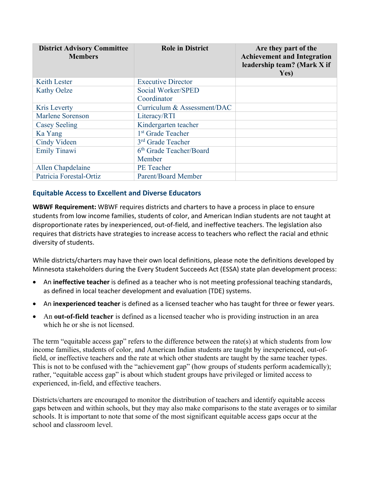| <b>District Advisory Committee</b><br><b>Members</b> | <b>Role in District</b>           | Are they part of the<br><b>Achievement and Integration</b><br>leadership team? (Mark X if<br>Yes) |
|------------------------------------------------------|-----------------------------------|---------------------------------------------------------------------------------------------------|
| <b>Keith Lester</b>                                  | <b>Executive Director</b>         |                                                                                                   |
| <b>Kathy Oelze</b>                                   | Social Worker/SPED<br>Coordinator |                                                                                                   |
| Kris Leverty                                         | Curriculum & Assessment/DAC       |                                                                                                   |
| Marlene Sorenson                                     | Literacy/RTI                      |                                                                                                   |
| <b>Casey Seeling</b>                                 | Kindergarten teacher              |                                                                                                   |
| Ka Yang                                              | 1 <sup>st</sup> Grade Teacher     |                                                                                                   |
| Cindy Videen                                         | 3 <sup>rd</sup> Grade Teacher     |                                                                                                   |
| <b>Emily Tinawi</b>                                  | 6th Grade Teacher/Board           |                                                                                                   |
|                                                      | Member                            |                                                                                                   |
| Allen Chapdelaine                                    | <b>PE</b> Teacher                 |                                                                                                   |
| Patricia Forestal-Ortiz                              | <b>Parent/Board Member</b>        |                                                                                                   |

#### **Equitable Access to Excellent and Diverse Educators**

**WBWF Requirement:** WBWF requires districts and charters to have a process in place to ensure students from low income families, students of color, and American Indian students are not taught at disproportionate rates by inexperienced, out-of-field, and ineffective teachers. The legislation also requires that districts have strategies to increase access to teachers who reflect the racial and ethnic diversity of students.

While districts/charters may have their own local definitions, please note the definitions developed by Minnesota stakeholders during the Every Student Succeeds Act (ESSA) state plan development process:

- An **ineffective teacher** is defined as a teacher who is not meeting professional teaching standards, as defined in local teacher development and evaluation (TDE) systems.
- An **inexperienced teacher** is defined as a licensed teacher who has taught for three or fewer years.
- An **out-of-field teacher** is defined as a licensed teacher who is providing instruction in an area which he or she is not licensed.

The term "equitable access gap" refers to the difference between the rate(s) at which students from low income families, students of color, and American Indian students are taught by inexperienced, out-offield, or ineffective teachers and the rate at which other students are taught by the same teacher types. This is not to be confused with the "achievement gap" (how groups of students perform academically); rather, "equitable access gap" is about which student groups have privileged or limited access to experienced, in-field, and effective teachers.

Districts/charters are encouraged to monitor the distribution of teachers and identify equitable access gaps between and within schools, but they may also make comparisons to the state averages or to similar schools. It is important to note that some of the most significant equitable access gaps occur at the school and classroom level.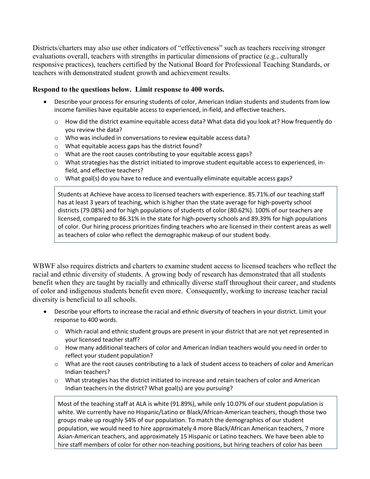Districts/charters may also use other indicators of "effectiveness" such as teachers receiving stronger evaluations overall, teachers with strengths in particular dimensions of practice (e.g., culturally responsive practices), teachers certified by the National Board for Professional Teaching Standards, or teachers with demonstrated student growth and achievement results.

#### **Respond to the questions below. Limit response to 400 words.**

- Describe your process for ensuring students of color, American Indian students and students from low income families have equitable access to experienced, in-field, and effective teachers.
	- o How did the district examine equitable access data? What data did you look at? How frequently do you review the data?
	- o Who was included in conversations to review equitable access data?
	- o What equitable access gaps has the district found?
	- o What are the root causes contributing to your equitable access gaps?
	- o What strategies has the district initiated to improve student equitable access to experienced, infield, and effective teachers?
	- $\circ$  What goal(s) do you have to reduce and eventually eliminate equitable access gaps?

Students at Achieve have access to licensed teachers with experience. 85.71%.of our teaching staff has at least 3 years of teaching, which is higher than the state average for high-poverty school districts (79.08%) and for high populations of students of color (80.62%). 100% of our teachers are licensed, compared to 86.31% in the state for high-poverty schools and 89.39% for high populations of color. Our hiring process prioritizes finding teachers who are licensed in their content areas as well as teachers of color who reflect the demographic makeup of our student body.

WBWF also requires districts and charters to examine student access to licensed teachers who reflect the racial and ethnic diversity of students. A growing body of research has demonstrated that all students benefit when they are taught by racially and ethnically diverse staff throughout their career, and students of color and indigenous students benefit even more. Consequently, working to increase teacher racial diversity is beneficial to all schools.

- Describe your efforts to increase the racial and ethnic diversity of teachers in your district. Limit your response to 400 words.
	- $\circ$  Which racial and ethnic student groups are present in your district that are not yet represented in your licensed teacher staff?
	- $\circ$  How many additional teachers of color and American Indian teachers would you need in order to reflect your student population?
	- $\circ$  What are the root causes contributing to a lack of student access to teachers of color and American Indian teachers?
	- $\circ$  What strategies has the district initiated to increase and retain teachers of color and American Indian teachers in the district? What goal(s) are you pursuing?

Most of the teaching staff at ALA is white (91.89%), while only 10.07% of our student population is white. We currently have no Hispanic/Latino or Black/African-American teachers, though those two groups make up roughly 54% of our population. To match the demographics of our student population, we would need to hire approximately 4 more Black/African American teachers, 7 more Asian-American teachers, and approximately 15 Hispanic or Latino teachers. We have been able to hire staff members of color for other non-teaching positions, but hiring teachers of color has been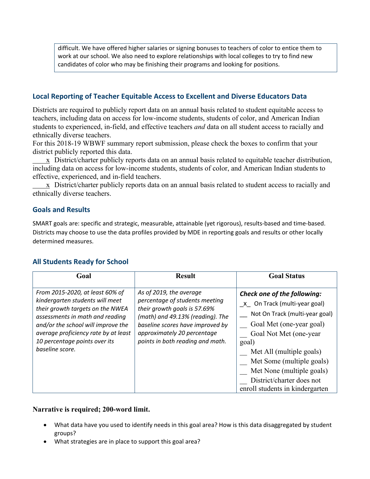difficult. We have offered higher salaries or signing bonuses to teachers of color to entice them to work at our school. We also need to explore relationships with local colleges to try to find new candidates of color who may be finishing their programs and looking for positions.

#### **Local Reporting of Teacher Equitable Access to Excellent and Diverse Educators Data**

Districts are required to publicly report data on an annual basis related to student equitable access to teachers, including data on access for low-income students, students of color, and American Indian students to experienced, in-field, and effective teachers *and* data on all student access to racially and ethnically diverse teachers.

For this 2018-19 WBWF summary report submission, please check the boxes to confirm that your district publicly reported this data.

x District/charter publicly reports data on an annual basis related to equitable teacher distribution, including data on access for low-income students, students of color, and American Indian students to effective, experienced, and in-field teachers.

 $\overline{x}$  District/charter publicly reports data on an annual basis related to student access to racially and ethnically diverse teachers.

#### **Goals and Results**

SMART goals are: specific and strategic, measurable, attainable (yet rigorous), results-based and time-based. Districts may choose to use the data profiles provided by MDE in reporting goals and results or other locally determined measures.

#### **All Students Ready for School**

| Goal                                                                                                                                                                                                                                                                        | <b>Result</b>                                                                                                                                                                                                                        | <b>Goal Status</b>                                                                                                                                                                                                                                                                                                 |
|-----------------------------------------------------------------------------------------------------------------------------------------------------------------------------------------------------------------------------------------------------------------------------|--------------------------------------------------------------------------------------------------------------------------------------------------------------------------------------------------------------------------------------|--------------------------------------------------------------------------------------------------------------------------------------------------------------------------------------------------------------------------------------------------------------------------------------------------------------------|
| From 2015-2020, at least 60% of<br>kindergarten students will meet<br>their growth targets on the NWEA<br>assessments in math and reading<br>and/or the school will improve the<br>average proficiency rate by at least<br>10 percentage points over its<br>baseline score. | As of 2019, the average<br>percentage of students meeting<br>their growth goals is 57.69%<br>(math) and 49.13% (reading). The<br>baseline scores have improved by<br>approximately 20 percentage<br>points in both reading and math. | Check one of the following:<br>x On Track (multi-year goal)<br>Not On Track (multi-year goal)<br>Goal Met (one-year goal)<br>Goal Not Met (one-year<br>goal)<br>Met All (multiple goals)<br>Met Some (multiple goals)<br>Met None (multiple goals)<br>District/charter does not<br>enroll students in kindergarten |

- What data have you used to identify needs in this goal area? How is this data disaggregated by student groups?
- What strategies are in place to support this goal area?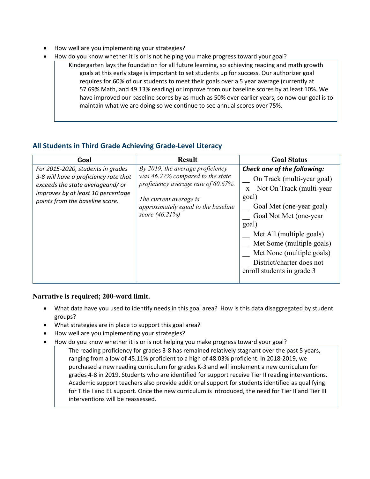- How well are you implementing your strategies?
- How do you know whether it is or is not helping you make progress toward your goal?
	- Kindergarten lays the foundation for all future learning, so achieving reading and math growth goals at this early stage is important to set students up for success. Our authorizer goal requires for 60% of our students to meet their goals over a 5 year average (currently at 57.69% Math, and 49.13% reading) or improve from our baseline scores by at least 10%. We have improved our baseline scores by as much as 50% over earlier years, so now our goal is to maintain what we are doing so we continue to see annual scores over 75%.

#### **All Students in Third Grade Achieving Grade-Level Literacy**

| Goal                                                                                                                                                                                   | <b>Result</b>                                                                                                                                                                                  | <b>Goal Status</b>                                                                                                                                                                                                                                                                                               |
|----------------------------------------------------------------------------------------------------------------------------------------------------------------------------------------|------------------------------------------------------------------------------------------------------------------------------------------------------------------------------------------------|------------------------------------------------------------------------------------------------------------------------------------------------------------------------------------------------------------------------------------------------------------------------------------------------------------------|
| For 2015-2020, students in grades<br>3-8 will have a proficiency rate that<br>exceeds the state averageand/or<br>improves by at least 10 percentage<br>points from the baseline score. | By 2019, the average proficiency<br>was 46.27% compared to the state<br>proficiency average rate of 60.67%.<br>The current average is<br>approximately equal to the baseline<br>score (46.21%) | Check one of the following:<br>On Track (multi-year goal)<br>x Not On Track (multi-year<br>goal)<br>Goal Met (one-year goal)<br>Goal Not Met (one-year<br>goal)<br>Met All (multiple goals)<br>Met Some (multiple goals)<br>Met None (multiple goals)<br>District/charter does not<br>enroll students in grade 3 |

- What data have you used to identify needs in this goal area? How is this data disaggregated by student groups?
- What strategies are in place to support this goal area?
- How well are you implementing your strategies?
- How do you know whether it is or is not helping you make progress toward your goal?
	- The reading proficiency for grades 3-8 has remained relatively stagnant over the past 5 years, ranging from a low of 45.11% proficient to a high of 48.03% proficient. In 2018-2019, we purchased a new reading curriculum for grades K-3 and will implement a new curriculum for grades 4-8 in 2019. Students who are identified for support receive Tier II reading interventions. Academic support teachers also provide additional support for students identified as qualifying for Title I and EL support. Once the new curriculum is introduced, the need for Tier II and Tier III interventions will be reassessed.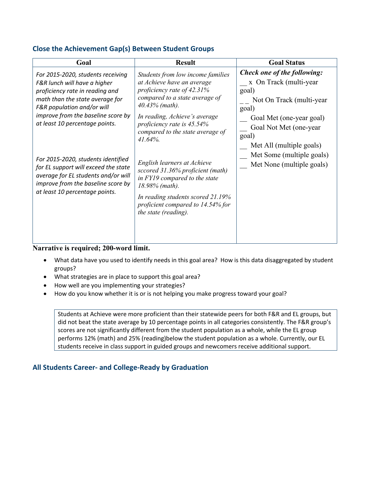#### **Close the Achievement Gap(s) Between Student Groups**

| Goal                                                                                                                                                                                                                                          | <b>Result</b>                                                                                                                                                                                                                                                        | <b>Goal Status</b>                                                                                                                                                                                                          |
|-----------------------------------------------------------------------------------------------------------------------------------------------------------------------------------------------------------------------------------------------|----------------------------------------------------------------------------------------------------------------------------------------------------------------------------------------------------------------------------------------------------------------------|-----------------------------------------------------------------------------------------------------------------------------------------------------------------------------------------------------------------------------|
| For 2015-2020, students receiving<br>F&R lunch will have a higher<br>proficiency rate in reading and<br>math than the state average for<br>F&R population and/or will<br>improve from the baseline score by<br>at least 10 percentage points. | Students from low income families<br>at Achieve have an average<br>proficiency rate of 42.31%<br>compared to a state average of<br>$40.43\%$ (math).<br>In reading, Achieve's average<br>proficiency rate is 45.54%<br>compared to the state average of<br>$41.64\%$ | Check one of the following:<br>x On Track (multi-year<br>goal)<br>Not On Track (multi-year<br>goal)<br>Goal Met (one-year goal)<br>Goal Not Met (one-year<br>goal)<br>Met All (multiple goals)<br>Met Some (multiple goals) |
| For 2015-2020, students identified<br>for EL support will exceed the state<br>average for EL students and/or will<br>improve from the baseline score by<br>at least 10 percentage points.                                                     | English learners at Achieve<br>sccored 31.36% proficient (math)<br>in FY19 compared to the state<br>$18.98\%$ (math).<br>In reading students scored 21.19%<br>proficient compared to 14.54% for<br>the state (reading).                                              | Met None (multiple goals)                                                                                                                                                                                                   |

#### **Narrative is required; 200-word limit.**

- What data have you used to identify needs in this goal area? How is this data disaggregated by student groups?
- What strategies are in place to support this goal area?
- How well are you implementing your strategies?
- How do you know whether it is or is not helping you make progress toward your goal?

Students at Achieve were more proficient than their statewide peers for both F&R and EL groups, but did not beat the state average by 10 percentage points in all categories consistently. The F&R group's scores are not significantly different from the student population as a whole, while the EL group performs 12% (math) and 25% (reading)below the student population as a whole. Currently, our EL students receive in class support in guided groups and newcomers receive additional support.

#### **All Students Career- and College-Ready by Graduation**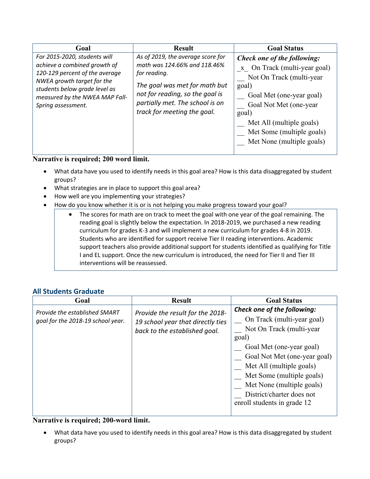| Goal                                                                                                                                                                                                                  | <b>Result</b>                                                                                                                                                                                                           | <b>Goal Status</b>                                                                                                                                                                                                                                    |
|-----------------------------------------------------------------------------------------------------------------------------------------------------------------------------------------------------------------------|-------------------------------------------------------------------------------------------------------------------------------------------------------------------------------------------------------------------------|-------------------------------------------------------------------------------------------------------------------------------------------------------------------------------------------------------------------------------------------------------|
| For 2015-2020, students will<br>achieve a combined growth of<br>120-129 percent of the average<br>NWEA growth target for the<br>students below grade level as<br>measured by the NWEA MAP Fall-<br>Spring assessment. | As of 2019, the average score for<br>math was 124.66% and 118.46%<br>for reading.<br>The goal was met for math but<br>not for reading, so the goal is<br>partially met. The school is on<br>track for meeting the goal. | Check one of the following:<br>x On Track (multi-year goal)<br>Not On Track (multi-year<br>goal)<br>Goal Met (one-year goal)<br>Goal Not Met (one-year<br>goal)<br>Met All (multiple goals)<br>Met Some (multiple goals)<br>Met None (multiple goals) |

#### **Narrative is required; 200 word limit.**

- What data have you used to identify needs in this goal area? How is this data disaggregated by student groups?
- What strategies are in place to support this goal area?
- How well are you implementing your strategies?
- How do you know whether it is or is not helping you make progress toward your goal?
	- The scores for math are on track to meet the goal with one year of the goal remaining. The reading goal is slightly below the expectation. In 2018-2019, we purchased a new reading curriculum for grades K-3 and will implement a new curriculum for grades 4-8 in 2019. Students who are identified for support receive Tier II reading interventions. Academic support teachers also provide additional support for students identified as qualifying for Title I and EL support. Once the new curriculum is introduced, the need for Tier II and Tier III interventions will be reassessed.

#### **All Students Graduate**

| Goal                                                               | <b>Result</b>                                                                                          | <b>Goal Status</b>                                                                                                                                                                                                                                                                                           |
|--------------------------------------------------------------------|--------------------------------------------------------------------------------------------------------|--------------------------------------------------------------------------------------------------------------------------------------------------------------------------------------------------------------------------------------------------------------------------------------------------------------|
| Provide the established SMART<br>goal for the 2018-19 school year. | Provide the result for the 2018-<br>19 school year that directly ties<br>back to the established goal. | Check one of the following:<br>On Track (multi-year goal)<br>Not On Track (multi-year<br>goal)<br>Goal Met (one-year goal)<br>Goal Not Met (one-year goal)<br>Met All (multiple goals)<br>Met Some (multiple goals)<br>Met None (multiple goals)<br>District/charter does not<br>enroll students in grade 12 |

#### **Narrative is required; 200-word limit.**

• What data have you used to identify needs in this goal area? How is this data disaggregated by student groups?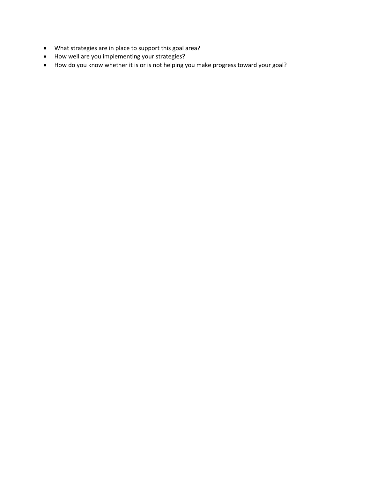- What strategies are in place to support this goal area?
- How well are you implementing your strategies?
- How do you know whether it is or is not helping you make progress toward your goal?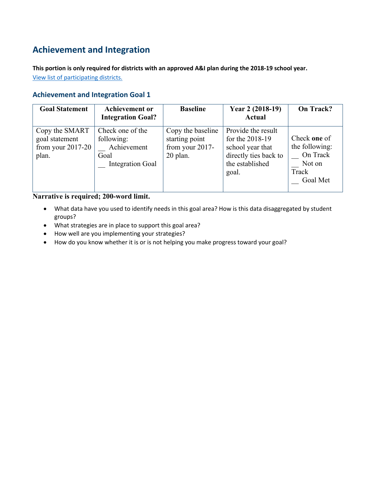## **Achievement and Integration**

**This portion is only required for districts with an approved A&I plan during the 2018-19 school year.** View list of participating districts.

#### **Achievement and Integration Goal 1**

| <b>Goal Statement</b>                                            | <b>Achievement or</b><br><b>Integration Goal?</b>                                | <b>Baseline</b>                                                    | Year 2 (2018-19)<br><b>Actual</b>                                                                                | On Track?                                                                 |
|------------------------------------------------------------------|----------------------------------------------------------------------------------|--------------------------------------------------------------------|------------------------------------------------------------------------------------------------------------------|---------------------------------------------------------------------------|
| Copy the SMART<br>goal statement<br>from your $2017-20$<br>plan. | Check one of the<br>following:<br>Achievement<br>Goal<br><b>Integration Goal</b> | Copy the baseline<br>starting point<br>from your 2017-<br>20 plan. | Provide the result<br>for the $2018-19$<br>school year that<br>directly ties back to<br>the established<br>goal. | Check one of<br>the following:<br>On Track<br>Not on<br>Track<br>Goal Met |

- What data have you used to identify needs in this goal area? How is this data disaggregated by student groups?
- What strategies are in place to support this goal area?
- How well are you implementing your strategies?
- How do you know whether it is or is not helping you make progress toward your goal?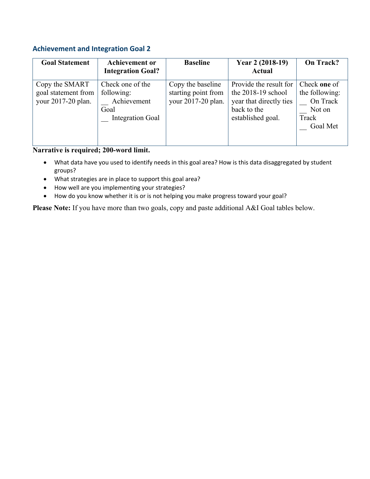#### **Achievement and Integration Goal 2**

| <b>Goal Statement</b>                                       | <b>Achievement or</b><br><b>Integration Goal?</b>                                | <b>Baseline</b>                                                | Year 2 (2018-19)<br><b>Actual</b>                                                                             | On Track?                                                                 |
|-------------------------------------------------------------|----------------------------------------------------------------------------------|----------------------------------------------------------------|---------------------------------------------------------------------------------------------------------------|---------------------------------------------------------------------------|
| Copy the SMART<br>goal statement from<br>your 2017-20 plan. | Check one of the<br>following:<br>Achievement<br>Goal<br><b>Integration Goal</b> | Copy the baseline<br>starting point from<br>your 2017-20 plan. | Provide the result for<br>the $2018-19$ school<br>year that directly ties<br>back to the<br>established goal. | Check one of<br>the following:<br>On Track<br>Not on<br>Track<br>Goal Met |

#### **Narrative is required; 200-word limit.**

- What data have you used to identify needs in this goal area? How is this data disaggregated by student groups?
- What strategies are in place to support this goal area?
- How well are you implementing your strategies?
- How do you know whether it is or is not helping you make progress toward your goal?

**Please Note:** If you have more than two goals, copy and paste additional A&I Goal tables below.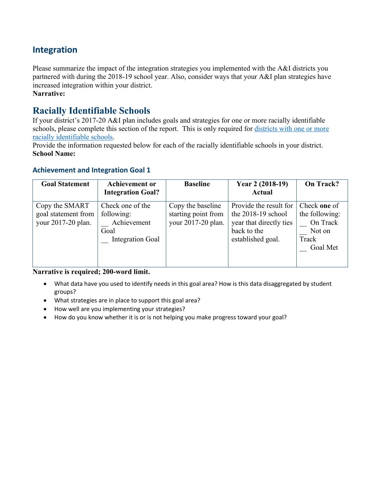### **Integration**

Please summarize the impact of the integration strategies you implemented with the A&I districts you partnered with during the 2018-19 school year. Also, consider ways that your A&I plan strategies have increased integration within your district.

**Narrative:** 

## **Racially Identifiable Schools**

If your district's 2017-20 A&I plan includes goals and strategies for one or more racially identifiable schools, please complete this section of the report. This is only required for districts with one or more racially identifiable schools.

Provide the information requested below for each of the racially identifiable schools in your district. **School Name:**

#### **Achievement and Integration Goal 1**

| <b>Goal Statement</b>                                       | <b>Achievement or</b><br><b>Integration Goal?</b>                                | <b>Baseline</b>                                                | Year 2 (2018-19)<br>Actual                                                                                    | On Track?                                                                 |
|-------------------------------------------------------------|----------------------------------------------------------------------------------|----------------------------------------------------------------|---------------------------------------------------------------------------------------------------------------|---------------------------------------------------------------------------|
| Copy the SMART<br>goal statement from<br>your 2017-20 plan. | Check one of the<br>following:<br>Achievement<br>Goal<br><b>Integration Goal</b> | Copy the baseline<br>starting point from<br>your 2017-20 plan. | Provide the result for<br>the $2018-19$ school<br>year that directly ties<br>back to the<br>established goal. | Check one of<br>the following:<br>On Track<br>Not on<br>Track<br>Goal Met |

- What data have you used to identify needs in this goal area? How is this data disaggregated by student groups?
- What strategies are in place to support this goal area?
- How well are you implementing your strategies?
- How do you know whether it is or is not helping you make progress toward your goal?